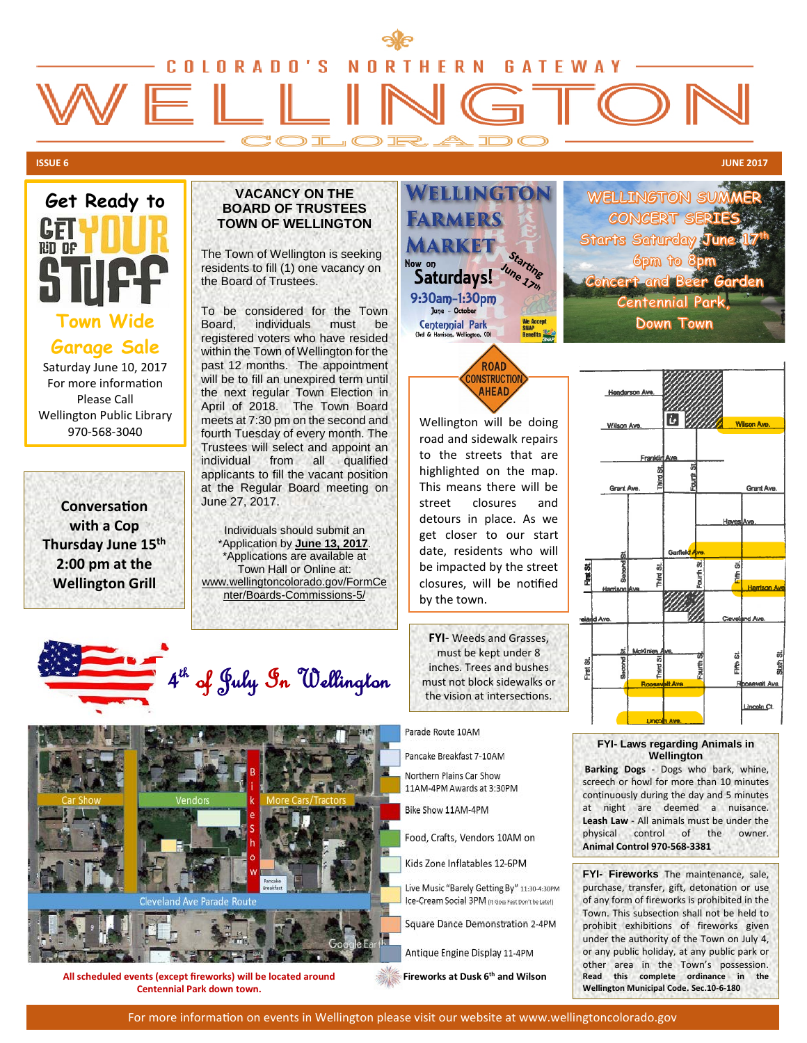# OLORADO'S HERN N **GATEWAY** ) L O R A I

# **ISSUE 6 JUNE <sup>2017</sup>**



Saturday June 10, 2017 For more information Please Call Wellington Public Library 970-568-3040

**Conversation with a Cop Thursday June 15th 2:00 pm at the Wellington Grill**

### **VACANCY ON THE BOARD OF TRUSTEES TOWN OF WELLINGTON**

The Town of Wellington is seeking residents to fill (1) one vacancy on the Board of Trustees.

To be considered for the Town<br>Board, individuals must be individuals must be registered voters who have resided within the Town of Wellington for the past 12 months. The appointment will be to fill an unexpired term until the next regular Town Election in April of 2018. The Town Board meets at 7:30 pm on the second and fourth Tuesday of every month. The Trustees will select and appoint an individual from all qualified applicants to fill the vacant position at the Regular Board meeting on June 27, 2017.

Individuals should submit an \*Application by **June 13, 2017**. \*Applications are available at Town Hall or Online at: www.wellingtoncolorado.gov/FormCe nter/Boards-Commissions-5/



WELLINGTON SU CONCERT **Starts Saturday**  $6$ pm to  $8$ **Concent and Bee Centennial Pa Down Town** 



Wellington will be doing road and sidewalk repairs to the streets that are highlighted on the map. This means there will be street closures and detours in place. As we get closer to our start date, residents who will be impacted by the street closures, will be notified by the town.

**FYI**- Weeds and Grasses, must be kept under 8 inches. Trees and bushes must not block sidewalks or the vision at intersections.



Pancake Breakfast 7-10AM

Northern Plains Car Show 11AM-4PM Awards at 3:30PM

Bike Show 11AM-4PM

Food, Crafts, Vendors 10AM on

Kids Zone Inflatables 12-6PM

Live Music "Barely Getting By" 11:30-4:30PM Ice-Cream Social 3PM (It Goes Fast Don't be Late!)

Square Dance Demonstration 2-4PM

Antique Engine Display 11-4PM

**Fireworks at Dusk 6th and Wilson**



#### **FYI- Laws regarding Animals in Wellington**

**Barking Dogs** - Dogs who bark, whine, screech or howl for more than 10 minutes continuously during the day and 5 minutes at night are deemed a nuisance. **Leash Law** - All animals must be under the physical control of the owner. **Animal Control 970-568-3381**

**FYI- Fireworks** The maintenance, sale, purchase, transfer, gift, detonation or use of any form of fireworks is prohibited in the Town. This subsection shall not be held to prohibit exhibitions of fireworks given under the authority of the Town on July 4, or any public holiday, at any public park or other area in the Town's possession. **Read this complete ordinance in the Wellington Municipal Code. Sec.10-6-180**

# 4<sup>th</sup> of July In Wellington



**All scheduled events (except fireworks) will be located around Centennial Park down town.**